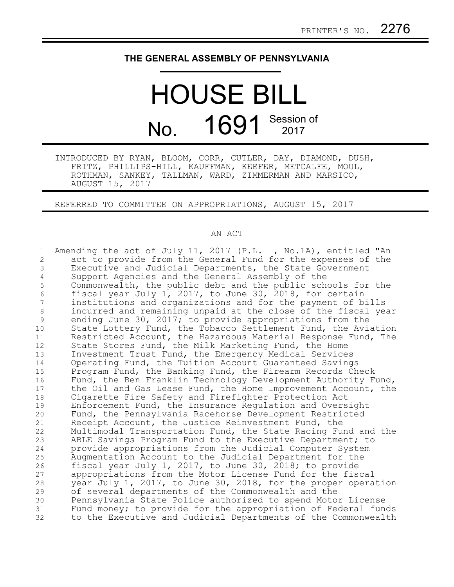## **THE GENERAL ASSEMBLY OF PENNSYLVANIA**

# HOUSE BILL No. 1691 Session of

INTRODUCED BY RYAN, BLOOM, CORR, CUTLER, DAY, DIAMOND, DUSH, FRITZ, PHILLIPS-HILL, KAUFFMAN, KEEFER, METCALFE, MOUL, ROTHMAN, SANKEY, TALLMAN, WARD, ZIMMERMAN AND MARSICO, AUGUST 15, 2017

REFERRED TO COMMITTEE ON APPROPRIATIONS, AUGUST 15, 2017

### AN ACT

| $\mathbf 1$    | Amending the act of July 11, 2017 (P.L., No.1A), entitled "An |
|----------------|---------------------------------------------------------------|
| $\overline{c}$ | act to provide from the General Fund for the expenses of the  |
| 3              | Executive and Judicial Departments, the State Government      |
| 4              | Support Agencies and the General Assembly of the              |
| 5              | Commonwealth, the public debt and the public schools for the  |
| 6              | fiscal year July 1, 2017, to June 30, 2018, for certain       |
| 7              | institutions and organizations and for the payment of bills   |
| $\,8\,$        | incurred and remaining unpaid at the close of the fiscal year |
| $\mathsf 9$    | ending June 30, 2017; to provide appropriations from the      |
| 10             | State Lottery Fund, the Tobacco Settlement Fund, the Aviation |
| 11             | Restricted Account, the Hazardous Material Response Fund, The |
| 12             | State Stores Fund, the Milk Marketing Fund, the Home          |
| 13             | Investment Trust Fund, the Emergency Medical Services         |
| 14             | Operating Fund, the Tuition Account Guaranteed Savings        |
| 15             | Program Fund, the Banking Fund, the Firearm Records Check     |
| 16             | Fund, the Ben Franklin Technology Development Authority Fund, |
| 17             | the Oil and Gas Lease Fund, the Home Improvement Account, the |
| 18             | Cigarette Fire Safety and Firefighter Protection Act          |
| 19             | Enforcement Fund, the Insurance Regulation and Oversight      |
| 20             | Fund, the Pennsylvania Racehorse Development Restricted       |
| 21             | Receipt Account, the Justice Reinvestment Fund, the           |
| 22             | Multimodal Transportation Fund, the State Racing Fund and the |
| 23             | ABLE Savings Program Fund to the Executive Department; to     |
| 24             | provide appropriations from the Judicial Computer System      |
| 25             | Augmentation Account to the Judicial Department for the       |
| 26             | fiscal year July 1, 2017, to June 30, 2018; to provide        |
| 27             | appropriations from the Motor License Fund for the fiscal     |
| 28             | year July 1, 2017, to June 30, 2018, for the proper operation |
| 29             | of several departments of the Commonwealth and the            |
| 30             | Pennsylvania State Police authorized to spend Motor License   |
| 31             | Fund money; to provide for the appropriation of Federal funds |
| 32             | to the Executive and Judicial Departments of the Commonwealth |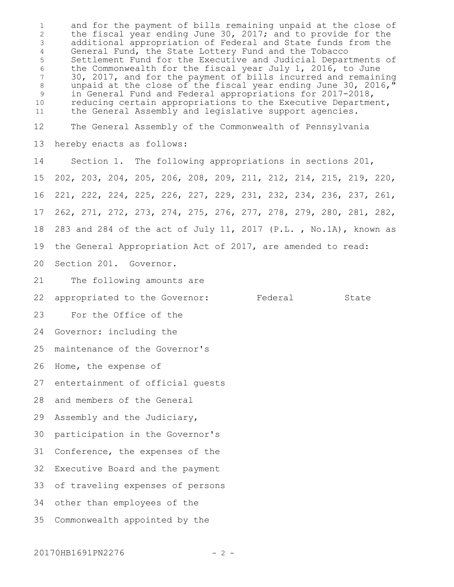and for the payment of bills remaining unpaid at the close of the fiscal year ending June 30, 2017; and to provide for the additional appropriation of Federal and State funds from the General Fund, the State Lottery Fund and the Tobacco Settlement Fund for the Executive and Judicial Departments of the Commonwealth for the fiscal year July 1, 2016, to June 30, 2017, and for the payment of bills incurred and remaining unpaid at the close of the fiscal year ending June 30, 2016," in General Fund and Federal appropriations for 2017-2018, reducing certain appropriations to the Executive Department, the General Assembly and legislative support agencies. The General Assembly of the Commonwealth of Pennsylvania hereby enacts as follows: Section 1. The following appropriations in sections 201, 202, 203, 204, 205, 206, 208, 209, 211, 212, 214, 215, 219, 220, 221, 222, 224, 225, 226, 227, 229, 231, 232, 234, 236, 237, 261, 262, 271, 272, 273, 274, 275, 276, 277, 278, 279, 280, 281, 282, 283 and 284 of the act of July 11, 2017 (P.L. , No.1A), known as the General Appropriation Act of 2017, are amended to read: Section 201. Governor. The following amounts are appropriated to the Governor: Federal State For the Office of the Governor: including the maintenance of the Governor's Home, the expense of entertainment of official guests and members of the General Assembly and the Judiciary, participation in the Governor's Conference, the expenses of the Executive Board and the payment of traveling expenses of persons other than employees of the Commonwealth appointed by the 1 2 3 4 5 6 7 8 9 10 11 12 13 14 15 16 17 18 19 20 21 22 23 24 25 26 27 28 29 30 31 32 33 34 35

20170HB1691PN2276 - 2 -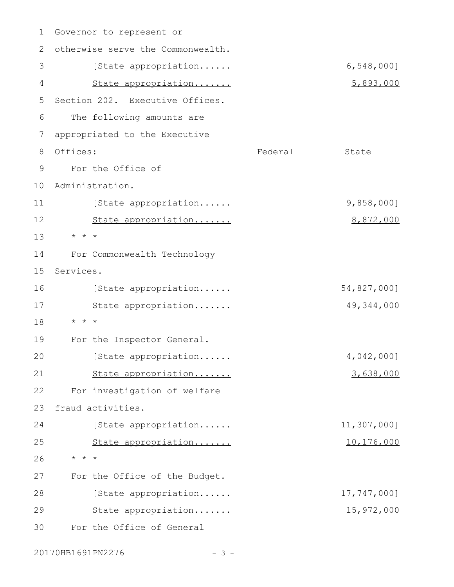| $\mathbf 1$   | Governor to represent or          |         |                   |
|---------------|-----------------------------------|---------|-------------------|
| 2             | otherwise serve the Commonwealth. |         |                   |
| 3             | [State appropriation              |         | $6,548,000$ ]     |
| 4             | State appropriation               |         | 5,893,000         |
| 5             | Section 202. Executive Offices.   |         |                   |
| 6             | The following amounts are         |         |                   |
| 7             | appropriated to the Executive     |         |                   |
| 8             | Offices:                          | Federal | State             |
| $\mathcal{G}$ | For the Office of                 |         |                   |
| 10            | Administration.                   |         |                   |
| 11            | [State appropriation              |         | $9,858,000$ ]     |
| 12            | State appropriation               |         | 8,872,000         |
| 13            | $\star$ $\star$ $\star$           |         |                   |
| 14            | For Commonwealth Technology       |         |                   |
| 15            | Services.                         |         |                   |
| 16            | [State appropriation              |         | 54,827,000]       |
| 17            | State appropriation               |         | 49, 344, 000      |
| 18            | $\star$ $\star$ $\star$           |         |                   |
| 19            | For the Inspector General.        |         |                   |
| 20            | [State appropriation              |         | 4,042,000]        |
| 21            | State appropriation               |         | 3,638,000         |
| 22            | For investigation of welfare      |         |                   |
| 23            | fraud activities.                 |         |                   |
| 24            | [State appropriation              |         | 11,307,000]       |
| 25            | State appropriation               |         | 10,176,000        |
| 26            | $\star$ $\star$ $\star$           |         |                   |
| 27            | For the Office of the Budget.     |         |                   |
| 28            | [State appropriation              |         | 17,747,000]       |
| 29            | State appropriation               |         | <u>15,972,000</u> |
| 30            | For the Office of General         |         |                   |

20170HB1691PN2276 - 3 -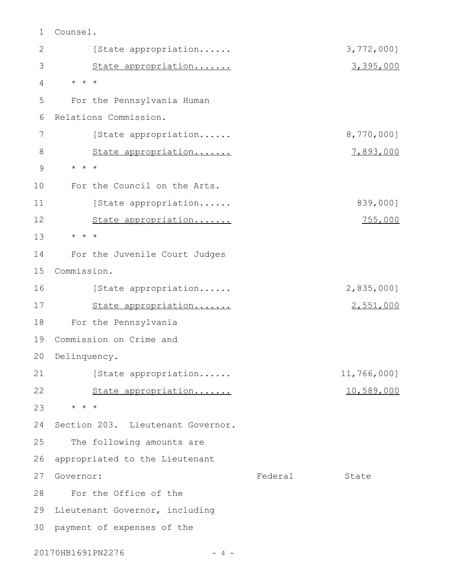Counsel. [State appropriation...... 3,772,000] State appropriation....... 3,395,000 \* \* \* For the Pennsylvania Human Relations Commission. [State appropriation...... 8,770,000] State appropriation....... 7,893,000 \* \* \* For the Council on the Arts. [State appropriation...... 839,000] State appropriation....... 755,000 \* \* \* For the Juvenile Court Judges Commission. 15 [State appropriation...... 2,835,000] State appropriation....... 2,551,000 For the Pennsylvania 19 Commission on Crime and 20 Delinquency. [State appropriation...... 11,766,000] State appropriation....... 10,589,000 \* \* \* 24 Section 203. Lieutenant Governor. The following amounts are 26 appropriated to the Lieutenant 27 Governor: Tederal State For the Office of the 29 Lieutenant Governor, including 30 payment of expenses of the 1 2 3 4 5 6 7 8 9 10 11 12 13 14 16 17 18 21 22 23 25 28

20170HB1691PN2276 - 4 -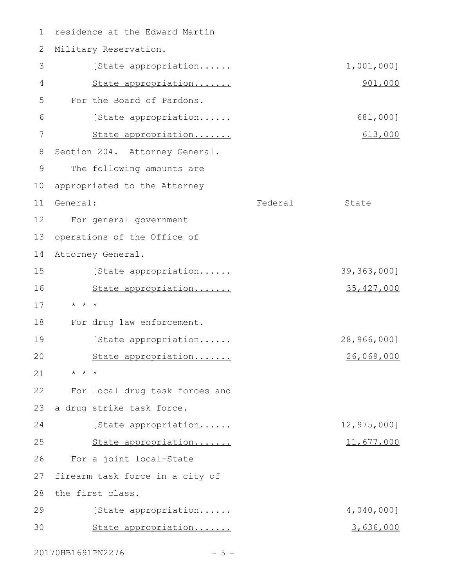1 residence at the Edward Martin 2 Military Reservation. [State appropriation...... 1,001,000] State appropriation....... 901,000 For the Board of Pardons. [State appropriation...... 681,000] State appropriation....... 613,000 Section 204. Attorney General. The following amounts are appropriated to the Attorney 11 General: State Rederal State For general government 12 operations of the Office of Attorney General. [State appropriation...... 39,363,000] State appropriation....... 35,427,000 \* \* \* For drug law enforcement. [State appropriation...... 28,966,000] State appropriation....... 26,069,000 \* \* \* For local drug task forces and a drug strike task force. [State appropriation...... 12,975,000] State appropriation....... 11,677,000 For a joint local-State 27 firearm task force in a city of 28 the first class. [State appropriation...... 4,040,000] State appropriation....... 3,636,000 3 4 5 6 7 8 9 10 13 14 15 16 17 18 19  $20$ 21 22 23 24 25 26 29 30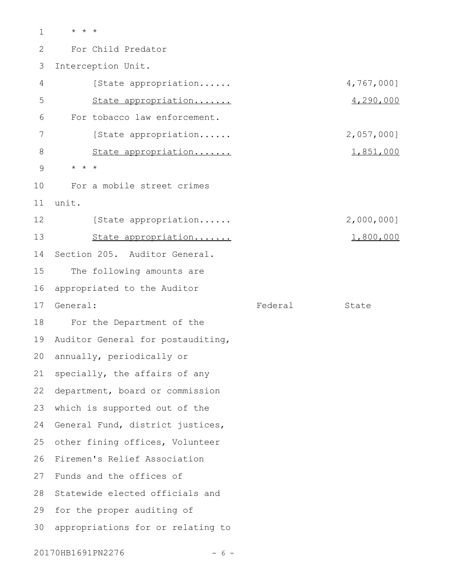\* \* \* For Child Predator Interception Unit. [State appropriation...... 4,767,000] State appropriation....... 4,290,000 For tobacco law enforcement. [State appropriation...... 2,057,000] State appropriation....... 1,851,000 \* \* \* For a mobile street crimes unit. [State appropriation...... 2,000,000] State appropriation....... 1,800,000 Section 205. Auditor General. The following amounts are appropriated to the Auditor General: State State State State State State State State State State State State For the Department of the 19 Auditor General for postauditing, annually, periodically or specially, the affairs of any department, board or commission 22 which is supported out of the 24 General Fund, district justices, other fining offices, Volunteer 26 Firemen's Relief Association Funds and the offices of Statewide elected officials and 29 for the proper auditing of appropriations for or relating to 1 2 3 4 5 6 7 8 9 10 11 12 13 14 15 16 17 18 20 21 23 25 27 28 30

20170HB1691PN2276 - 6 -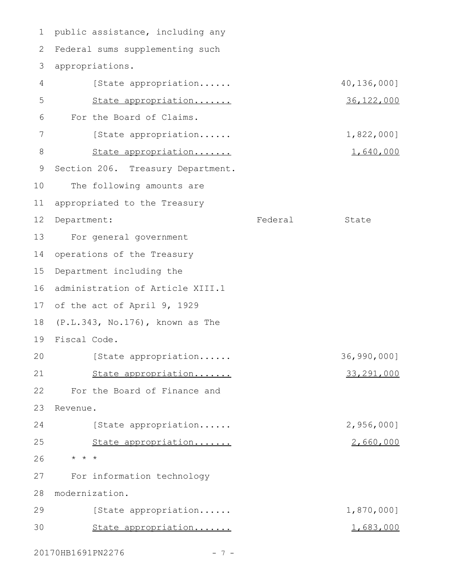1 public assistance, including any 2 Federal sums supplementing such 3 appropriations. [State appropriation...... 40,136,000] State appropriation....... 36,122,000 For the Board of Claims. [State appropriation...... 1,822,000] State appropriation....... 1,640,000 9 Section 206. Treasury Department. The following amounts are appropriated to the Treasury 12 Department: Tederal State For general government operations of the Treasury Department including the 16 administration of Article XIII.1 17 of the act of April 9, 1929 (P.L.343, No.176), known as The Fiscal Code. 19 [State appropriation...... 36,990,000] State appropriation....... 33,291,000 For the Board of Finance and Revenue. [State appropriation...... 2,956,000] State appropriation....... 2,660,000 \* \* \* 26 For information technology modernization. 28 [State appropriation...... 1,870,000] State appropriation....... 1,683,000 4 5 6 7 8 10 11 13 14 15 18 20 21 22 23 24 25 27 29 30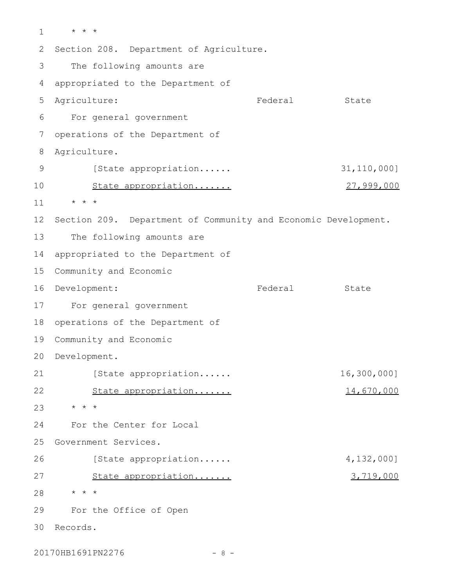\* \* \* Section 208. Department of Agriculture. The following amounts are appropriated to the Department of Agriculture: The State State State State State State State State State State For general government operations of the Department of Agriculture. [State appropriation...... 31,110,000] State appropriation....... 27,999,000 \* \* \* Section 209. Department of Community and Economic Development. The following amounts are appropriated to the Department of Community and Economic 16 Development: Tederal State For general government operations of the Department of 19 Community and Economic 20 Development. [State appropriation...... 16,300,000] State appropriation....... 14,670,000 \* \* \* For the Center for Local 25 Government Services. [State appropriation...... 4,132,000] State appropriation....... 3,719,000 \* \* \* For the Office of Open Records. 301 2 3 4 5 6 7 8 9 10 11 12 13 14 15 17 18 21 22 23 24 26 27 28 29

20170HB1691PN2276 - 8 -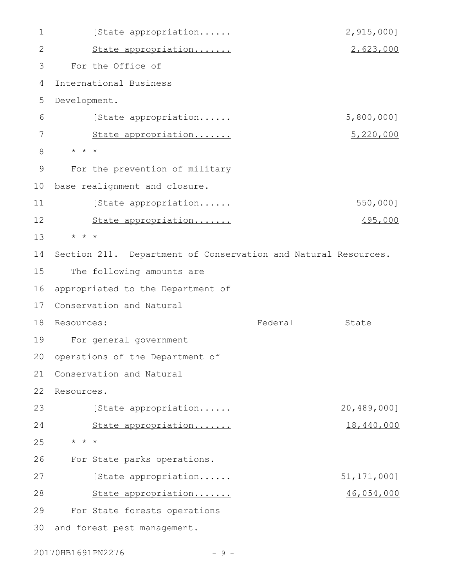[State appropriation...... 2,915,000] State appropriation....... 2,623,000 For the Office of International Business Development. [State appropriation...... 5,800,000] State appropriation....... 5,220,000 \* \* \* For the prevention of military 10 base realignment and closure. [State appropriation...... 550,000] State appropriation....... 495,000 \* \* \* Section 211. Department of Conservation and Natural Resources. The following amounts are 16 appropriated to the Department of Conservation and Natural 18 Resources: Tederal State For general government 19 20 operations of the Department of 21 Conservation and Natural 22 Resources. [State appropriation...... 20,489,000] State appropriation....... 18,440,000 \* \* \* For State parks operations. [State appropriation...... 51,171,000] State appropriation....... 46,054,000 For State forests operations 30 and forest pest management. 1 2 3 4 5 6 7 8 9 11 12 13 14 15 17 23 24 25 26 27 28 29

20170HB1691PN2276 - 9 -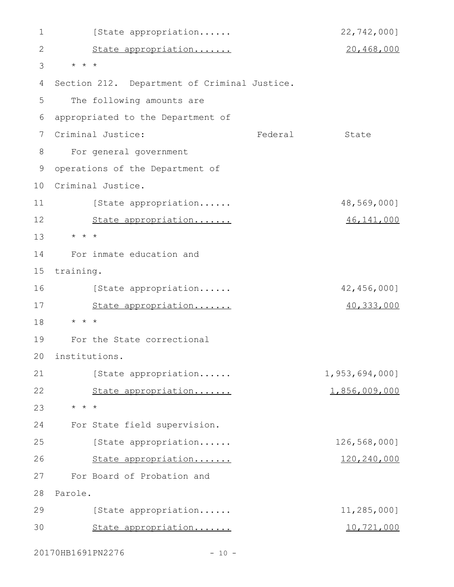| 1  | [State appropriation                         | 22,742,000]    |
|----|----------------------------------------------|----------------|
| 2  | State appropriation                          | 20,468,000     |
| 3  | $\star$ $\star$ $\star$                      |                |
| 4  | Section 212. Department of Criminal Justice. |                |
| 5  | The following amounts are                    |                |
| 6  | appropriated to the Department of            |                |
| 7  | Criminal Justice:<br>Federal                 | State          |
| 8  | For general government                       |                |
| 9  | operations of the Department of              |                |
| 10 | Criminal Justice.                            |                |
| 11 | [State appropriation                         | 48,569,000]    |
| 12 | State appropriation                          | 46, 141, 000   |
| 13 | $\star$ $\star$ $\star$                      |                |
| 14 | For inmate education and                     |                |
| 15 | training.                                    |                |
| 16 | [State appropriation                         | 42,456,000]    |
| 17 | State appropriation                          | 40, 333, 000   |
| 18 | $\star$ $\star$ $\star$                      |                |
| 19 | For the State correctional                   |                |
| 20 | institutions.                                |                |
| 21 | [State appropriation                         | 1,953,694,000] |
| 22 | State appropriation                          | 1,856,009,000  |
| 23 | $\star$ $\star$ $\star$                      |                |
| 24 | For State field supervision.                 |                |
| 25 | [State appropriation                         | 126,568,000]   |
| 26 | State appropriation                          | 120,240,000    |
| 27 | For Board of Probation and                   |                |
| 28 | Parole.                                      |                |
| 29 | [State appropriation                         | 11,285,000]    |
| 30 | State appropriation                          | 10,721,000     |
|    |                                              |                |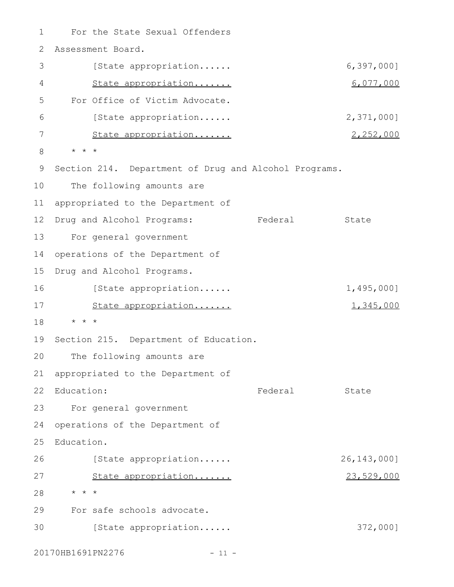For the State Sexual Offenders Assessment Board. [State appropriation...... 6,397,000] State appropriation....... 6,077,000 For Office of Victim Advocate. [State appropriation...... 2,371,000] State appropriation....... 2,252,000 \* \* \* 9 Section 214. Department of Drug and Alcohol Programs. The following amounts are 11 appropriated to the Department of 12 Drug and Alcohol Programs: Tederal State For general government operations of the Department of Drug and Alcohol Programs. [State appropriation...... 1,495,000] State appropriation....... 1,345,000 \* \* \* 19 Section 215. Department of Education. The following amounts are 21 appropriated to the Department of 22 Education: Tederal State For general government 23 operations of the Department of Education. [State appropriation...... 26,143,000] State appropriation....... 23,529,000 \* \* \* For safe schools advocate. [State appropriation...... 372,000] 1 2 3 4 5 6 7 8 10 13 14 15 16 17 18 20 24 25 26 27 28 29 30

20170HB1691PN2276 - 11 -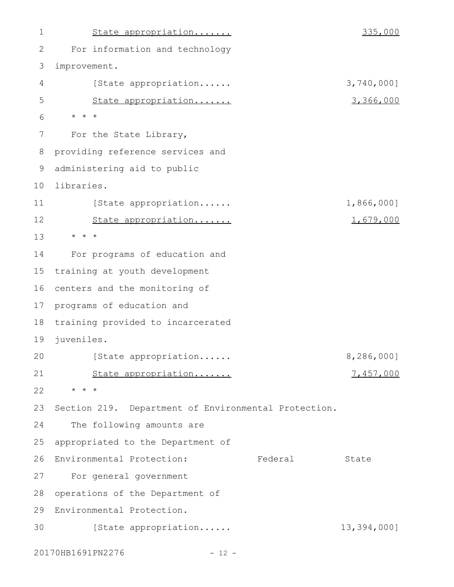| $\mathbf 1$ | State appropriation                                  | 335,000       |
|-------------|------------------------------------------------------|---------------|
| 2           | For information and technology                       |               |
| 3           | improvement.                                         |               |
| 4           | [State appropriation                                 | 3,740,000]    |
| 5           | State appropriation                                  | 3,366,000     |
| 6           | $\star$ $\star$ $\star$                              |               |
| 7           | For the State Library,                               |               |
| 8           | providing reference services and                     |               |
| 9           | administering aid to public                          |               |
| 10          | libraries.                                           |               |
| 11          | [State appropriation                                 | 1,866,000]    |
| 12          | State appropriation                                  | 1,679,000     |
| 13          | $\star$ $\star$ $\star$                              |               |
| 14          | For programs of education and                        |               |
| 15          | training at youth development                        |               |
| 16          | centers and the monitoring of                        |               |
| 17          | programs of education and                            |               |
| 18          | training provided to incarcerated                    |               |
| 19          | juveniles.                                           |               |
| 20          | [State appropriation                                 | $8,286,000$ ] |
| 21          | State appropriation                                  | 7,457,000     |
| 22          | $\star$ $\star$ $\star$                              |               |
| 23          | Section 219. Department of Environmental Protection. |               |
| 24          | The following amounts are                            |               |
| 25          | appropriated to the Department of                    |               |
| 26          | Environmental Protection:<br>Federal                 | State         |
| 27          | For general government                               |               |
| 28          | operations of the Department of                      |               |
| 29          | Environmental Protection.                            |               |
| 30          | [State appropriation                                 | 13,394,000]   |

20170HB1691PN2276 - 12 -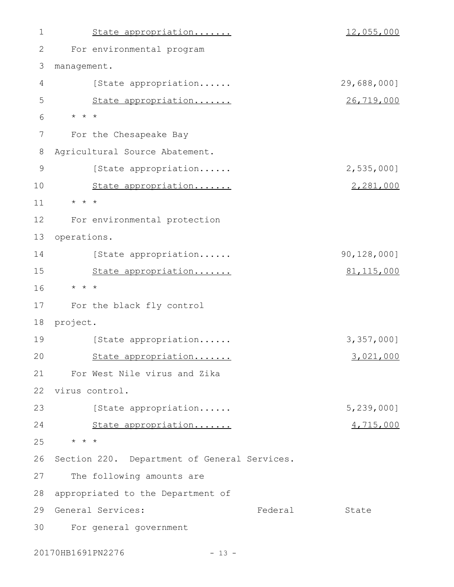State appropriation....... 12,055,000 For environmental program management. [State appropriation...... 29,688,000] State appropriation....... 26,719,000 \* \* \* For the Chesapeake Bay Agricultural Source Abatement. [State appropriation...... 2,535,000] State appropriation....... 2,281,000 \* \* \* For environmental protection 13 operations. [State appropriation...... 90,128,000] State appropriation....... 81,115,000 \* \* \* For the black fly control 18 project. [State appropriation...... 3,357,000] State appropriation....... 3,021,000 For West Nile virus and Zika 22 virus control. [State appropriation...... 5,239,000] State appropriation....... 4,715,000 \* \* \* 25 26 Section 220. Department of General Services. The following amounts are 28 appropriated to the Department of Federal State For general government 301 2 3 4 5 6 7 8 9 10 11 12 14 15 16 17 19  $20$ 21 23 24 27 29 General Services:

20170HB1691PN2276 - 13 -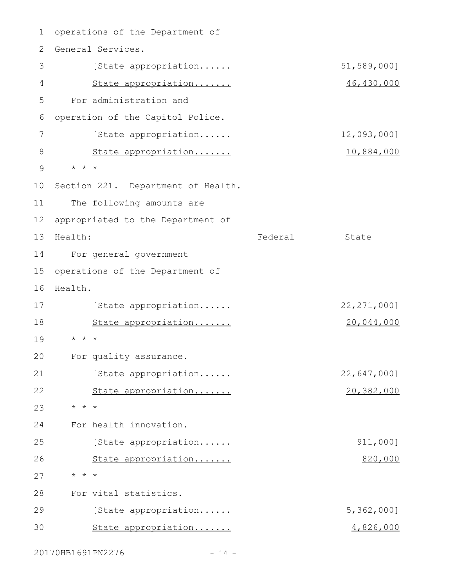1 operations of the Department of 2 General Services. [State appropriation...... 51,589,000] State appropriation....... 46,430,000 For administration and operation of the Capitol Police. [State appropriation...... 12,093,000] State appropriation....... 10,884,000 \* \* \* 9 10 Section 221. Department of Health. The following amounts are 12 appropriated to the Department of Federal State For general government 15 operations of the Department of 16 Health. [State appropriation...... 22,271,000] State appropriation....... 20,044,000 \* \* \* For quality assurance. [State appropriation...... 22,647,000] State appropriation....... 20,382,000 \* \* \* For health innovation. [State appropriation...... 911,000] State appropriation....... 820,000 \* \* \* For vital statistics. [State appropriation...... 5,362,000] State appropriation....... 4,826,000 3 4 5 6 7 8 11 13 Health: 14 17 18 19 20 21 22 23 24 25 26 27 28 29 30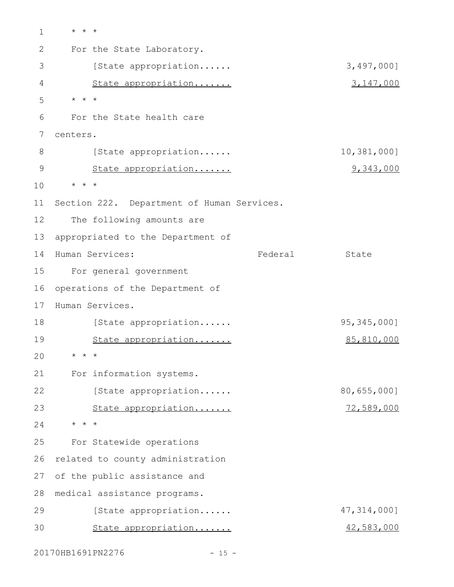\* \* \* For the State Laboratory. [State appropriation...... 3,497,000] State appropriation....... 3,147,000 \* \* \* For the State health care centers. [State appropriation...... 10,381,000] State appropriation....... 9,343,000 \* \* \* Section 222. Department of Human Services. The following amounts are appropriated to the Department of 14 Human Services: The State State State For general government 16 operations of the Department of 17 Human Services. [State appropriation...... 95,345,000] State appropriation....... 85,810,000 \* \* \* For information systems. [State appropriation...... 80,655,000] State appropriation....... 72,589,000 \* \* \* For Statewide operations 26 related to county administration 27 of the public assistance and medical assistance programs. 28 [State appropriation...... 47,314,000] State appropriation....... 42,583,000 1 2 3 4 5 6 7 8 9 10 11 12 13 15 18 19  $20$ 21 22 23 24 25 29 30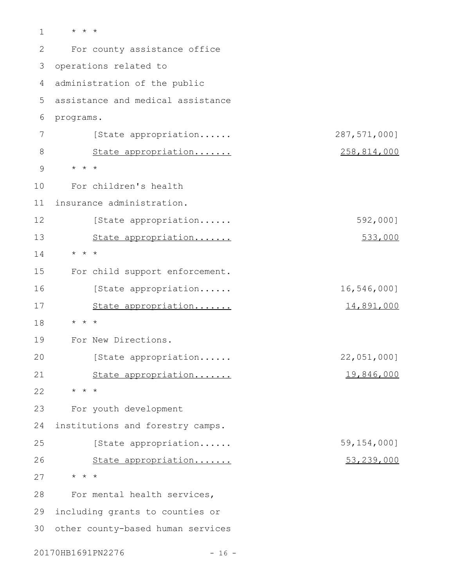\* \* \* For county assistance office 3 operations related to administration of the public 4 assistance and medical assistance programs. [State appropriation...... 287,571,000] State appropriation....... 258,814,000 \* \* \* For children's health insurance administration. [State appropriation...... 592,000] State appropriation....... 533,000 \* \* \* For child support enforcement. [State appropriation...... 16,546,000] State appropriation....... 14,891,000 \* \* \* For New Directions. [State appropriation...... 22,051,000] State appropriation....... 19,846,000 \* \* \* For youth development institutions and forestry camps. [State appropriation...... 59,154,000] State appropriation....... 53,239,000 \* \* \* For mental health services, 29 including grants to counties or 30 other county-based human services 1 2 5 6 7 8 9 10 11 12 13 14 15 16 17 18 19 20 21 22 23 24 25 26 27 28

20170HB1691PN2276 - 16 -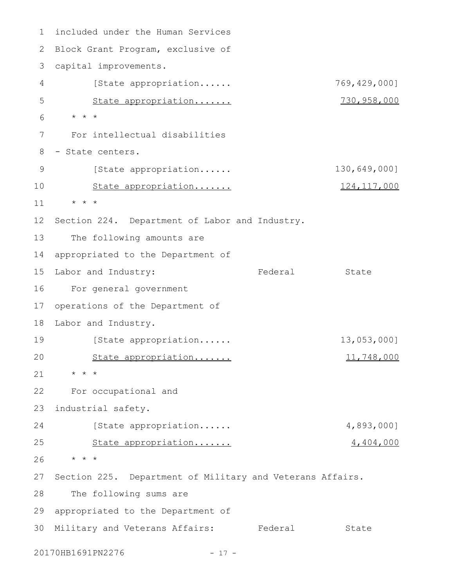included under the Human Services 2 Block Grant Program, exclusive of capital improvements. 3 [State appropriation...... 769,429,000] State appropriation....... 730,958,000 \* \* \* For intellectual disabilities - State centers. [State appropriation...... 130,649,000] State appropriation....... 124,117,000 \* \* \* 12 Section 224. Department of Labor and Industry. The following amounts are appropriated to the Department of Labor and Industry: The Rederal State For general government operations of the Department of 18 Labor and Industry. [State appropriation...... 13,053,000] State appropriation....... 11,748,000 \* \* \* For occupational and industrial safety. [State appropriation...... 4,893,000] State appropriation....... 4,404,000 \* \* \* Section 225. Department of Military and Veterans Affairs. The following sums are 29 appropriated to the Department of 30 Military and Veterans Affairs: Federal State 1 4 5 6 7 8 9 10 11 13 14 15 16 17 19 20 21 22 23 24 25 26 27 28

20170HB1691PN2276 - 17 -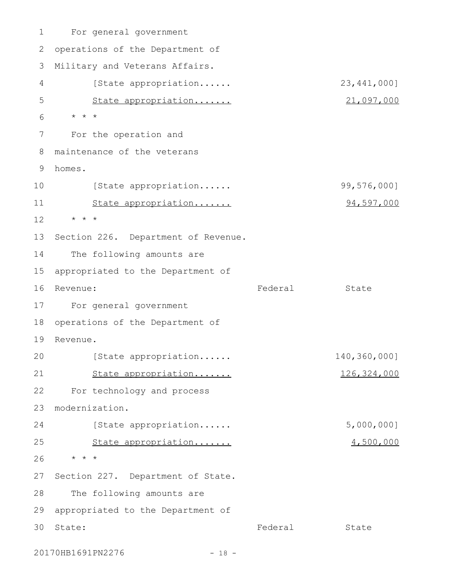For general government operations of the Department of Military and Veterans Affairs. [State appropriation...... 23,441,000] State appropriation....... 21,097,000 \* \* \* For the operation and maintenance of the veterans homes. [State appropriation...... 99,576,000] State appropriation....... 94,597,000 \* \* \* Section 226. Department of Revenue. The following amounts are appropriated to the Department of Revenue: State State State State State State State State State State State State For general government operations of the Department of 19 Revenue. [State appropriation...... 140,360,000] State appropriation....... 126,324,000 For technology and process modernization. [State appropriation...... 5,000,000] State appropriation....... 4,500,000 \* \* \* Section 227. Department of State. The following amounts are appropriated to the Department of Federal State 1 2 3 4 5 6 7 8 9 10 11 12 13 14 15 16 Revenue: 17 18  $20$ 21 22 23 24 25 26 27 28 29 30 State:

20170HB1691PN2276 - 18 -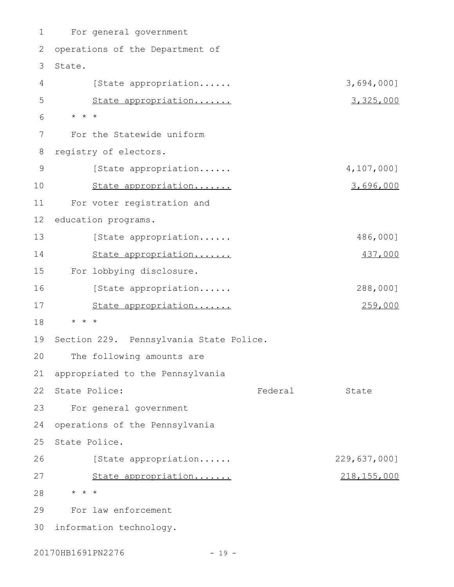For general government 2 operations of the Department of 3 State. [State appropriation...... 3,694,000] State appropriation....... 3,325,000 \* \* \* For the Statewide uniform registry of electors. [State appropriation...... 4,107,000] State appropriation....... 3,696,000 For voter registration and 12 education programs. [State appropriation...... 486,000] State appropriation....... 437,000 For lobbying disclosure. [State appropriation...... 288,000] State appropriation....... 259,000 \* \* \* 19 Section 229. Pennsylvania State Police. The following amounts are appropriated to the Pennsylvania 22 State Police: The State State State State For general government operations of the Pennsylvania State Police. [State appropriation...... 229,637,000] State appropriation....... 218,155,000 \* \* \* For law enforcement 30 information technology. 1 4 5 6 7 8 9 10 11 13 14 15 16 17 18 20 21 23 24 25 26 27 28 29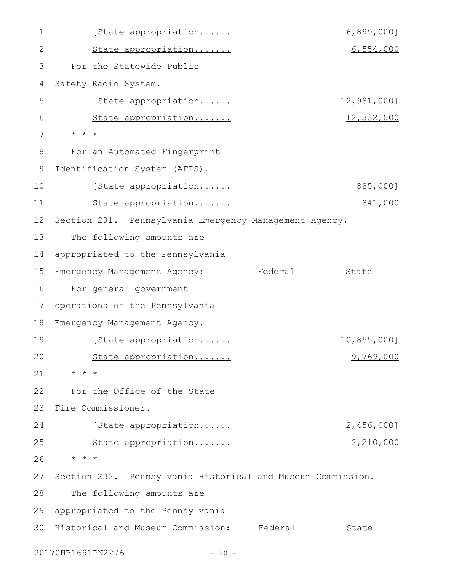[State appropriation...... 6,899,000] State appropriation....... 6,554,000 For the Statewide Public Safety Radio System. [State appropriation...... 12,981,000] State appropriation....... 12,332,000 \* \* \* For an Automated Fingerprint 9 Identification System (AFIS). [State appropriation...... 885,000] State appropriation....... 841,000 12 Section 231. Pennsylvania Emergency Management Agency. The following amounts are appropriated to the Pennsylvania Emergency Management Agency: Federal State For general government operations of the Pennsylvania Emergency Management Agency. [State appropriation...... 10,855,000] State appropriation....... 9,769,000 \* \* \* For the Office of the State Fire Commissioner. [State appropriation...... 2,456,000] State appropriation....... 2,210,000 \* \* \* Section 232. Pennsylvania Historical and Museum Commission. The following amounts are appropriated to the Pennsylvania 30 Historical and Museum Commission: Federal State 1 2 3 4 5 6 7 8 10 11 13 14 15 16 17 18 19 20 21 22 23 24 25 26 27 28 29

20170HB1691PN2276 - 20 -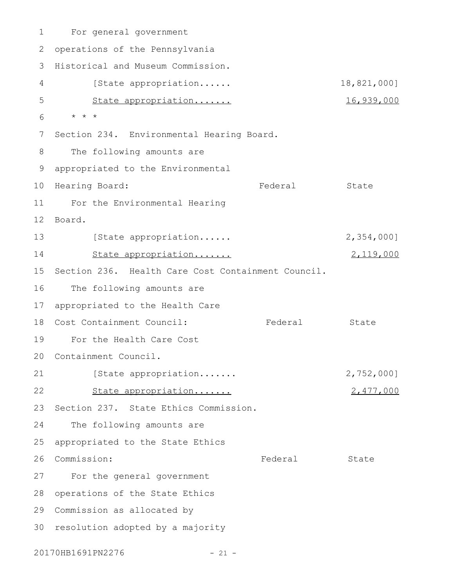For general government 2 operations of the Pennsylvania 3 Historical and Museum Commission. [State appropriation...... 18,821,000] State appropriation....... 16,939,000 \* \* \* 7 Section 234. Environmental Hearing Board. The following amounts are appropriated to the Environmental 9 10 Hearing Board: The State State State Rederal State For the Environmental Hearing 11 12 Board. [State appropriation...... 2,354,000] State appropriation....... 2,119,000 15 Section 236. Health Care Cost Containment Council. The following amounts are appropriated to the Health Care 18 Cost Containment Council: Tederal State For the Health Care Cost 19 20 Containment Council. [State appropriation....... 2,752,000] State appropriation....... 2,477,000 23 Section 237. State Ethics Commission. The following amounts are appropriated to the State Ethics 26 Commission: Tederal State For the general government 28 operations of the State Ethics 29 Commission as allocated by 30 resolution adopted by a majority 1 4 5 6 8 13 14 16 17 21 22 24 25 27

20170HB1691PN2276 - 21 -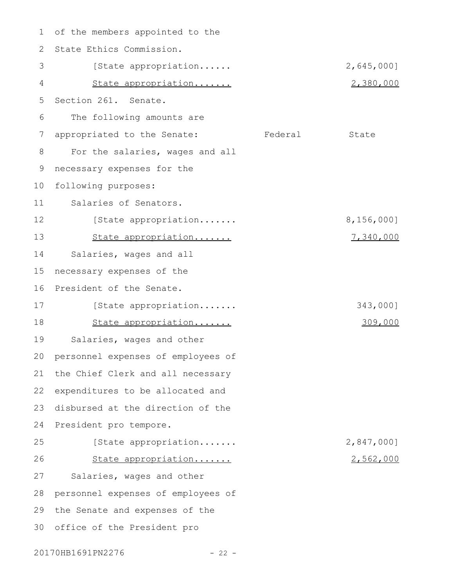of the members appointed to the 1 2 State Ethics Commission. [State appropriation...... 2,645,000] State appropriation....... 2,380,000 Section 261. Senate. The following amounts are appropriated to the Senate: Federal State For the salaries, wages and all necessary expenses for the following purposes: Salaries of Senators. [State appropriation....... 8,156,000] State appropriation....... 7,340,000 Salaries, wages and all necessary expenses of the 16 President of the Senate. [State appropriation....... 343,000] State appropriation....... 309,000 Salaries, wages and other personnel expenses of employees of 21 the Chief Clerk and all necessary 22 expenditures to be allocated and disbursed at the direction of the 24 President pro tempore. [State appropriation....... 2,847,000] State appropriation....... 2,562,000 Salaries, wages and other personnel expenses of employees of 29 the Senate and expenses of the 30 office of the President pro 3 4 5 6 7 8 9 10 11 12 13 14 15 17 18 19 20 23 25 26 27 28

20170HB1691PN2276 - 22 -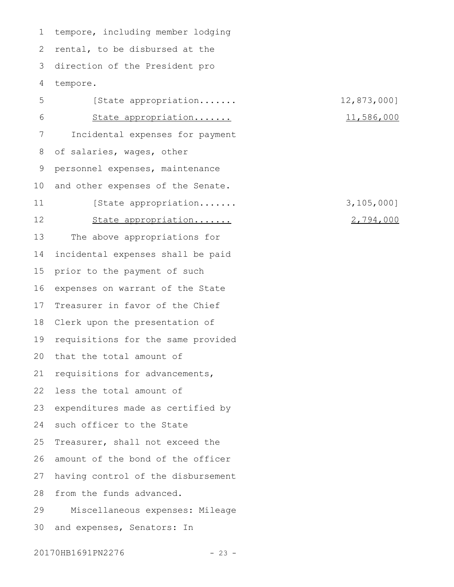1 tempore, including member lodging rental, to be disbursed at the direction of the President pro tempore. 2 3 4

[State appropriation....... 12,873,000] State appropriation....... 11,586,000 Incidental expenses for payment of salaries, wages, other personnel expenses, maintenance and other expenses of the Senate. [State appropriation....... 3,105,000] State appropriation....... 2,794,000 The above appropriations for incidental expenses shall be paid prior to the payment of such expenses on warrant of the State Treasurer in favor of the Chief Clerk upon the presentation of requisitions for the same provided that the total amount of requisitions for advancements, 22 less the total amount of expenditures made as certified by such officer to the State Treasurer, shall not exceed the amount of the bond of the officer having control of the disbursement from the funds advanced. Miscellaneous expenses: Mileage and expenses, Senators: In 5 6 7 8 9 10 11 12 13 14 15 16 17 18 19  $20$ 21 23 24 25 26 27 28 29 30

20170HB1691PN2276 - 23 -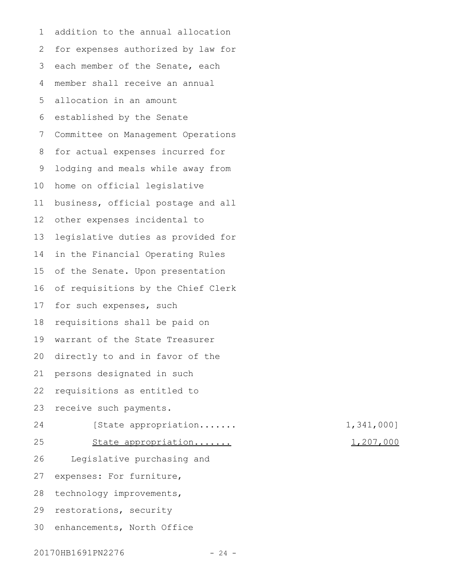addition to the annual allocation for expenses authorized by law for each member of the Senate, each member shall receive an annual allocation in an amount established by the Senate Committee on Management Operations for actual expenses incurred for lodging and meals while away from home on official legislative business, official postage and all other expenses incidental to legislative duties as provided for in the Financial Operating Rules of the Senate. Upon presentation of requisitions by the Chief Clerk for such expenses, such requisitions shall be paid on warrant of the State Treasurer directly to and in favor of the persons designated in such requisitions as entitled to receive such payments. [State appropriation....... 1,341,000] State appropriation....... 1,207,000 Legislative purchasing and expenses: For furniture, technology improvements, restorations, security 30 enhancements, North Office 1 2 3 4 5 6 7 8 9 10 11 12 13 14 15 16 17 18 19 20 21 22 23 24 25 26 27 28 29

20170HB1691PN2276 - 24 -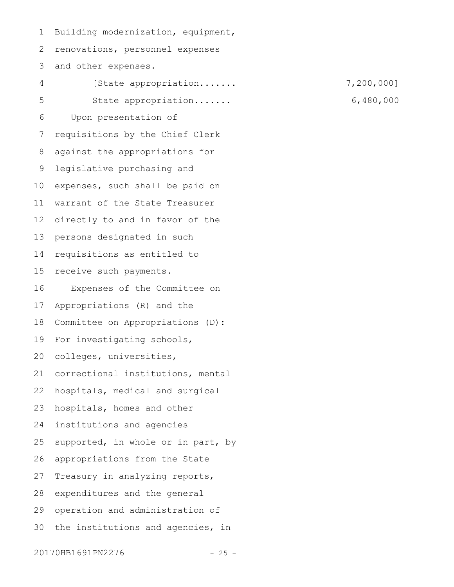Building modernization, equipment, 1

renovations, personnel expenses 2

and other expenses. 3

[State appropriation....... 7,200,000] State appropriation....... 6,480,000 Upon presentation of requisitions by the Chief Clerk against the appropriations for legislative purchasing and expenses, such shall be paid on warrant of the State Treasurer directly to and in favor of the persons designated in such requisitions as entitled to receive such payments. Expenses of the Committee on Appropriations (R) and the Committee on Appropriations (D): For investigating schools, colleges, universities, correctional institutions, mental hospitals, medical and surgical hospitals, homes and other institutions and agencies supported, in whole or in part, by appropriations from the State Treasury in analyzing reports, expenditures and the general operation and administration of the institutions and agencies, in 4 5 6 7 8 9 10 11 12 13 14 15 16 17 18 19 20 21 22 23 24 25 26 27 28 29 30

20170HB1691PN2276 - 25 -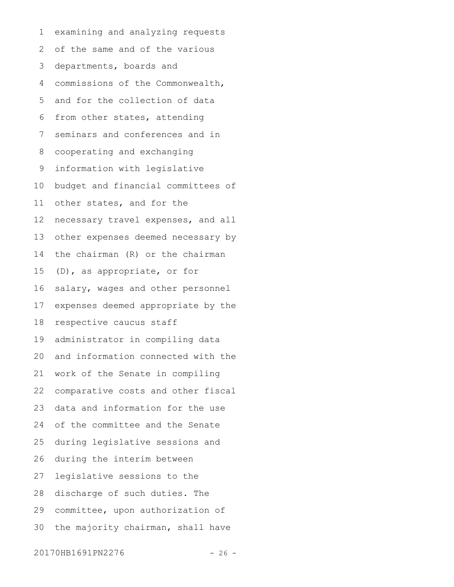examining and analyzing requests of the same and of the various departments, boards and commissions of the Commonwealth, and for the collection of data from other states, attending seminars and conferences and in cooperating and exchanging information with legislative budget and financial committees of other states, and for the necessary travel expenses, and all other expenses deemed necessary by the chairman (R) or the chairman (D), as appropriate, or for salary, wages and other personnel expenses deemed appropriate by the respective caucus staff administrator in compiling data and information connected with the work of the Senate in compiling comparative costs and other fiscal data and information for the use of the committee and the Senate during legislative sessions and during the interim between legislative sessions to the discharge of such duties. The committee, upon authorization of the majority chairman, shall have 1 2 3 4 5 6 7 8 9 10 11 12 13 14 15 16 17 18 19 20 21 22 23 24 25 26 27 28 29 30

20170HB1691PN2276 - 26 -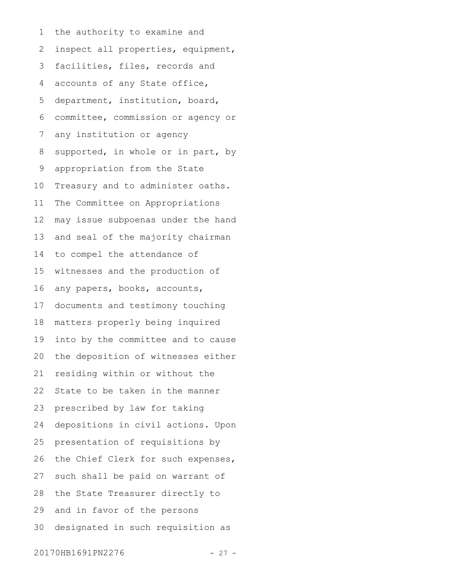the authority to examine and inspect all properties, equipment, facilities, files, records and accounts of any State office, department, institution, board, committee, commission or agency or any institution or agency supported, in whole or in part, by appropriation from the State Treasury and to administer oaths. The Committee on Appropriations may issue subpoenas under the hand and seal of the majority chairman to compel the attendance of witnesses and the production of any papers, books, accounts, documents and testimony touching matters properly being inquired into by the committee and to cause the deposition of witnesses either residing within or without the State to be taken in the manner prescribed by law for taking depositions in civil actions. Upon presentation of requisitions by the Chief Clerk for such expenses, such shall be paid on warrant of the State Treasurer directly to and in favor of the persons designated in such requisition as 1 2 3 4 5 6 7 8 9 10 11 12 13 14 15 16 17 18 19 20 21 22 23 24 25 26 27 28 29 30

20170HB1691PN2276 - 27 -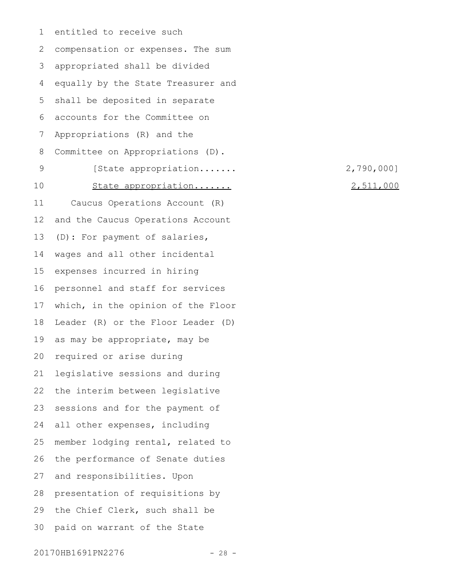entitled to receive such compensation or expenses. The sum appropriated shall be divided equally by the State Treasurer and shall be deposited in separate accounts for the Committee on Appropriations (R) and the Committee on Appropriations (D). [State appropriation....... 2,790,000] State appropriation....... 2,511,000 Caucus Operations Account (R) and the Caucus Operations Account (D): For payment of salaries, wages and all other incidental expenses incurred in hiring personnel and staff for services which, in the opinion of the Floor Leader (R) or the Floor Leader (D) as may be appropriate, may be required or arise during legislative sessions and during the interim between legislative sessions and for the payment of all other expenses, including member lodging rental, related to the performance of Senate duties and responsibilities. Upon presentation of requisitions by the Chief Clerk, such shall be paid on warrant of the State 1 2 3 4 5 6 7 8 9 10 11 12 13 14 15 16 17 18 19 20 21 22 23 24 25 26 27 28 29 30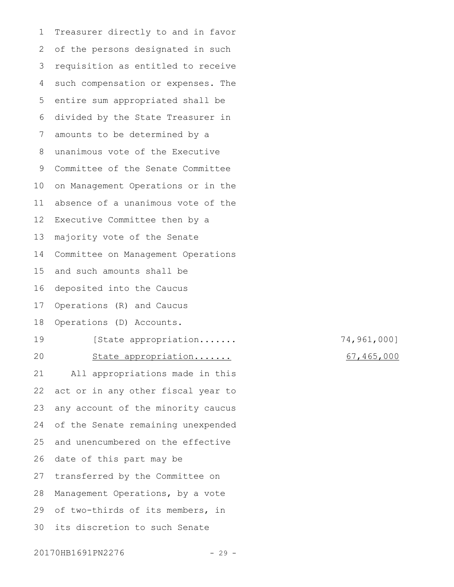Treasurer directly to and in favor of the persons designated in such requisition as entitled to receive such compensation or expenses. The entire sum appropriated shall be divided by the State Treasurer in amounts to be determined by a unanimous vote of the Executive Committee of the Senate Committee on Management Operations or in the absence of a unanimous vote of the Executive Committee then by a majority vote of the Senate Committee on Management Operations and such amounts shall be deposited into the Caucus Operations (R) and Caucus Operations (D) Accounts. [State appropriation....... 74,961,000] State appropriation....... 67,465,000 All appropriations made in this act or in any other fiscal year to any account of the minority caucus of the Senate remaining unexpended and unencumbered on the effective date of this part may be transferred by the Committee on Management Operations, by a vote of two-thirds of its members, in its discretion to such Senate 1 2 3 4 5 6 7 8 9 10 11 12 13 14 15 16 17 18 19  $20$ 21 22 23 24 25 26 27 28 29 30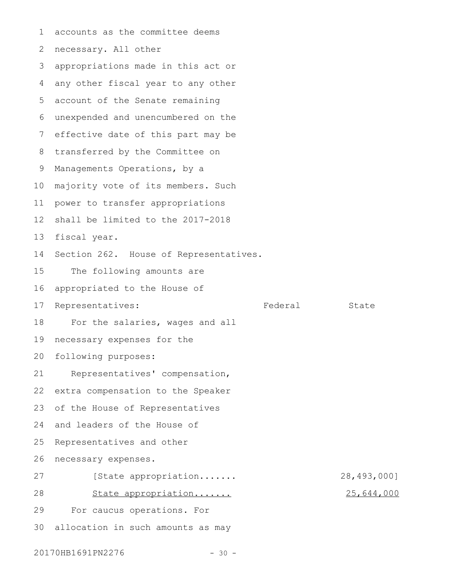accounts as the committee deems necessary. All other appropriations made in this act or any other fiscal year to any other account of the Senate remaining unexpended and unencumbered on the effective date of this part may be transferred by the Committee on Managements Operations, by a majority vote of its members. Such power to transfer appropriations shall be limited to the 2017-2018 fiscal year. Section 262. House of Representatives. The following amounts are appropriated to the House of Representatives: Tederal State For the salaries, wages and all necessary expenses for the following purposes: Representatives' compensation, extra compensation to the Speaker of the House of Representatives and leaders of the House of Representatives and other necessary expenses. [State appropriation....... 28,493,000] State appropriation....... 25,644,000 For caucus operations. For 30 allocation in such amounts as may 1 2 3 4 5 6 7 8 9 10 11 12 13 14 15 16 17 18 19 20 21 22 23 24 25 26 27 28 29

20170HB1691PN2276 - 30 -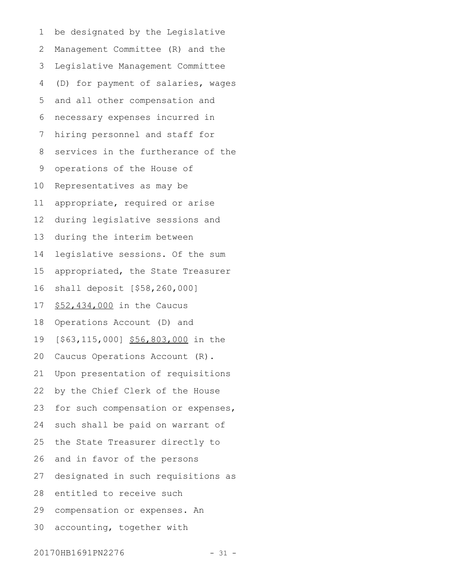be designated by the Legislative Management Committee (R) and the Legislative Management Committee (D) for payment of salaries, wages and all other compensation and necessary expenses incurred in hiring personnel and staff for services in the furtherance of the operations of the House of Representatives as may be appropriate, required or arise during legislative sessions and during the interim between legislative sessions. Of the sum appropriated, the State Treasurer shall deposit [\$58,260,000] \$52,434,000 in the Caucus Operations Account (D) and [\$63,115,000] \$56,803,000 in the Caucus Operations Account (R). Upon presentation of requisitions by the Chief Clerk of the House for such compensation or expenses, such shall be paid on warrant of the State Treasurer directly to and in favor of the persons designated in such requisitions as entitled to receive such compensation or expenses. An accounting, together with 1 2 3 4 5 6 7 8 9 10 11 12 13 14 15 16 17 18 19 20 21 22 23 24 25 26 27 28 29 30

20170HB1691PN2276 - 31 -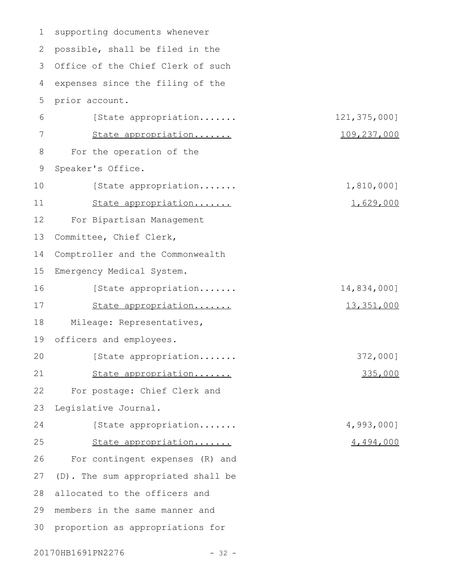| $\mathbf 1$ | supporting documents whenever      |              |
|-------------|------------------------------------|--------------|
| 2           | possible, shall be filed in the    |              |
| 3           | Office of the Chief Clerk of such  |              |
| 4           | expenses since the filing of the   |              |
| 5           | prior account.                     |              |
| 6           | [State appropriation               | 121,375,000] |
| 7           | State appropriation                | 109,237,000  |
| 8           | For the operation of the           |              |
| $\mathsf 9$ | Speaker's Office.                  |              |
| 10          | [State appropriation               | 1,810,000]   |
| 11          | State appropriation                | 1,629,000    |
| 12          | For Bipartisan Management          |              |
| 13          | Committee, Chief Clerk,            |              |
| 14          | Comptroller and the Commonwealth   |              |
| 15          | Emergency Medical System.          |              |
| 16          | [State appropriation               | 14,834,000]  |
| 17          | State appropriation                | 13,351,000   |
| 18          | Mileage: Representatives,          |              |
| 19          | officers and employees.            |              |
| 20          | [State appropriation               | 372,000]     |
| 21          | State appropriation                | 335,000      |
| 22          | For postage: Chief Clerk and       |              |
| 23          | Legislative Journal.               |              |
| 24          | [State appropriation               | 4,993,000]   |
| 25          | State appropriation                | 4,494,000    |
| 26          | For contingent expenses (R) and    |              |
| 27          | (D). The sum appropriated shall be |              |
| 28          | allocated to the officers and      |              |
| 29          | members in the same manner and     |              |
| 30          | proportion as appropriations for   |              |
|             |                                    |              |

20170HB1691PN2276 - 32 -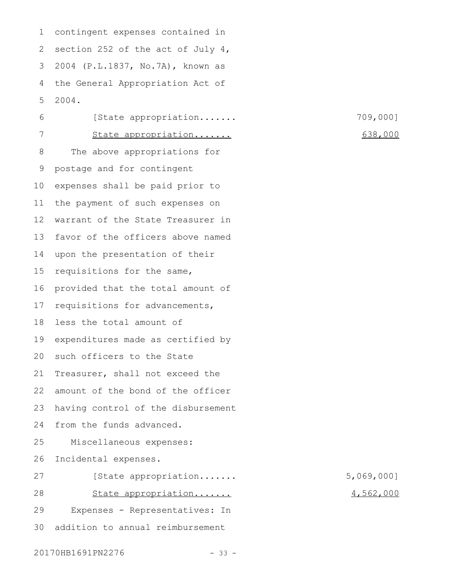contingent expenses contained in 2 section 252 of the act of July 4, 2004 (P.L.1837, No.7A), known as the General Appropriation Act of 2004. 1 3 4 5

[State appropriation....... 709,000] State appropriation....... 638,000 The above appropriations for postage and for contingent expenses shall be paid prior to the payment of such expenses on warrant of the State Treasurer in favor of the officers above named upon the presentation of their requisitions for the same, provided that the total amount of requisitions for advancements, less the total amount of 19 expenditures made as certified by such officers to the State Treasurer, shall not exceed the amount of the bond of the officer having control of the disbursement from the funds advanced. Miscellaneous expenses: Incidental expenses. [State appropriation....... 5,069,000] State appropriation....... 4,562,000 Expenses - Representatives: In 6 7 8 9 10 11 12 13 14 15 16 17 18  $20$ 21 22 23 24 25 26 27 28 29

addition to annual reimbursement 30

20170HB1691PN2276 - 33 -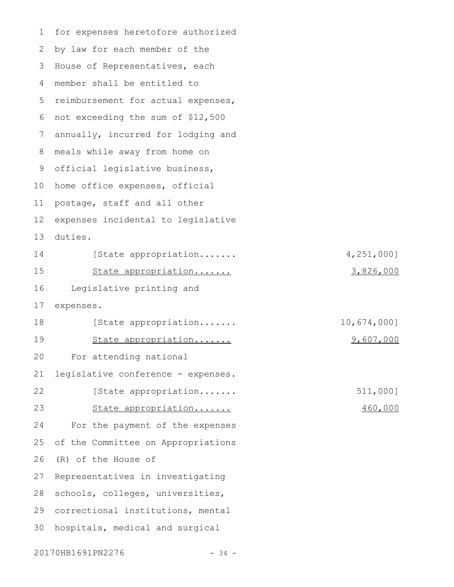for expenses heretofore authorized by law for each member of the House of Representatives, each member shall be entitled to 5 reimbursement for actual expenses, not exceeding the sum of \$12,500 annually, incurred for lodging and meals while away from home on official legislative business, home office expenses, official postage, staff and all other expenses incidental to legislative duties. [State appropriation....... 4,251,000] State appropriation....... 3,826,000 Legislative printing and expenses. [State appropriation....... 10,674,000] State appropriation....... 9,607,000 For attending national legislative conference - expenses. [State appropriation....... 511,000] State appropriation....... 460,000 For the payment of the expenses of the Committee on Appropriations (R) of the House of Representatives in investigating schools, colleges, universities, correctional institutions, mental hospitals, medical and surgical 1 2 3 4 6 7 8 9 10 11 12 13 14 15 16 17 18 19 20 21 22 23 24 25 26 27 28 29 30

20170HB1691PN2276 - 34 -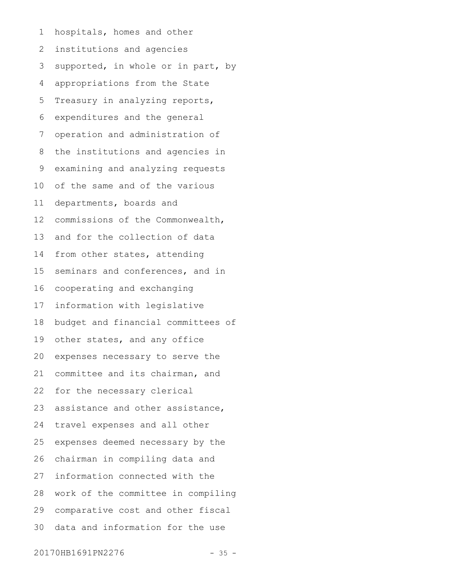hospitals, homes and other institutions and agencies supported, in whole or in part, by appropriations from the State Treasury in analyzing reports, expenditures and the general operation and administration of the institutions and agencies in examining and analyzing requests of the same and of the various departments, boards and commissions of the Commonwealth, and for the collection of data from other states, attending seminars and conferences, and in cooperating and exchanging information with legislative budget and financial committees of other states, and any office expenses necessary to serve the committee and its chairman, and for the necessary clerical assistance and other assistance, travel expenses and all other expenses deemed necessary by the chairman in compiling data and information connected with the work of the committee in compiling comparative cost and other fiscal data and information for the use 1 2 3 4 5 6 7 8 9 10 11 12 13 14 15 16 17 18 19 20 21 22 23 24 25 26 27 28 29 30

20170HB1691PN2276 - 35 -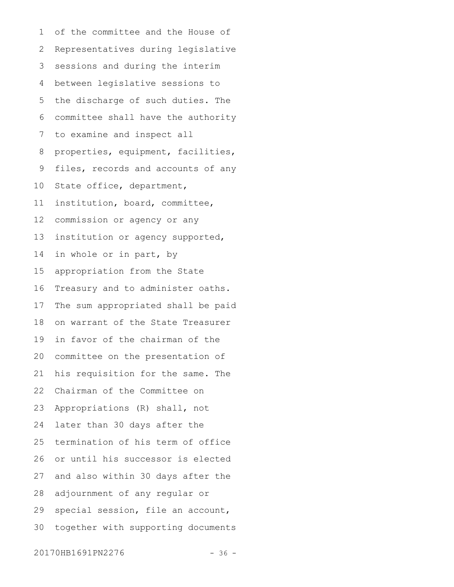of the committee and the House of Representatives during legislative sessions and during the interim between legislative sessions to the discharge of such duties. The committee shall have the authority to examine and inspect all properties, equipment, facilities, files, records and accounts of any State office, department, institution, board, committee, commission or agency or any institution or agency supported, in whole or in part, by appropriation from the State Treasury and to administer oaths. The sum appropriated shall be paid on warrant of the State Treasurer in favor of the chairman of the committee on the presentation of his requisition for the same. The Chairman of the Committee on Appropriations (R) shall, not later than 30 days after the termination of his term of office or until his successor is elected and also within 30 days after the adjournment of any regular or special session, file an account, together with supporting documents 1 2 3 4 5 6 7 8 9 10 11 12 13 14 15 16 17 18 19 20 21 22 23 24 25 26 27 28 29 30

20170HB1691PN2276 - 36 -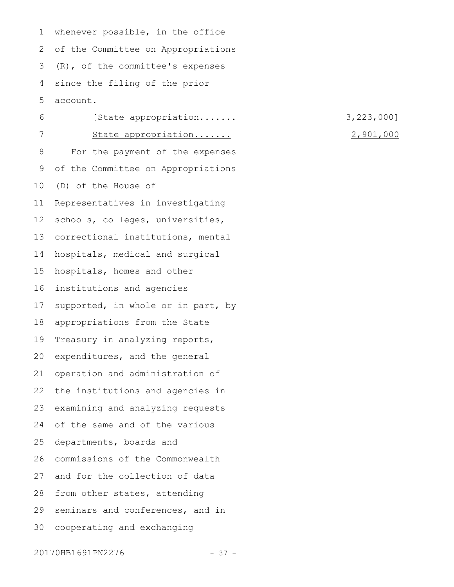whenever possible, in the office of the Committee on Appropriations (R), of the committee's expenses since the filing of the prior account. 1 2 3 4 5

[State appropriation....... 3,223,000] State appropriation....... 2,901,000 For the payment of the expenses of the Committee on Appropriations (D) of the House of Representatives in investigating schools, colleges, universities, correctional institutions, mental hospitals, medical and surgical hospitals, homes and other institutions and agencies supported, in whole or in part, by appropriations from the State Treasury in analyzing reports, expenditures, and the general operation and administration of the institutions and agencies in examining and analyzing requests of the same and of the various departments, boards and commissions of the Commonwealth and for the collection of data from other states, attending seminars and conferences, and in cooperating and exchanging 6 7 8 9 10 11 12 13 14 15 16 17 18 19 20 21 22 23 24 25 26 27 28 29 30

20170HB1691PN2276 - 37 -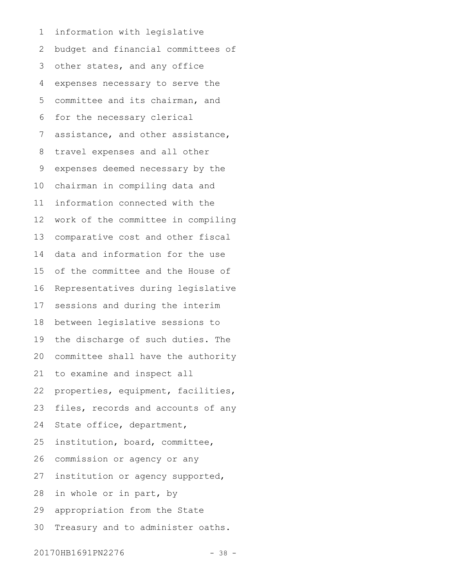information with legislative budget and financial committees of other states, and any office expenses necessary to serve the committee and its chairman, and for the necessary clerical assistance, and other assistance, travel expenses and all other expenses deemed necessary by the chairman in compiling data and information connected with the work of the committee in compiling comparative cost and other fiscal data and information for the use of the committee and the House of Representatives during legislative sessions and during the interim between legislative sessions to the discharge of such duties. The committee shall have the authority to examine and inspect all properties, equipment, facilities, files, records and accounts of any State office, department, institution, board, committee, commission or agency or any institution or agency supported, in whole or in part, by appropriation from the State Treasury and to administer oaths. 1 2 3 4 5 6 7 8 9 10 11 12 13 14 15 16 17 18 19 20 21 22 23 24 25 26 27 28 29 30

20170HB1691PN2276 - 38 -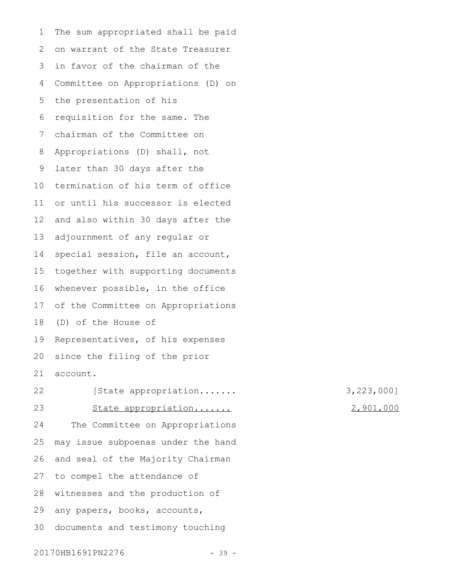The sum appropriated shall be paid on warrant of the State Treasurer in favor of the chairman of the Committee on Appropriations (D) on the presentation of his requisition for the same. The chairman of the Committee on Appropriations (D) shall, not later than 30 days after the termination of his term of office or until his successor is elected and also within 30 days after the adjournment of any regular or special session, file an account, together with supporting documents whenever possible, in the office of the Committee on Appropriations (D) of the House of Representatives, of his expenses since the filing of the prior account. 1 2 3 4 5 6 7 8 9 10 11 12 13 14 15 16 17 18 19 20 21

State appropriation....... 2,901,000 The Committee on Appropriations may issue subpoenas under the hand and seal of the Majority Chairman to compel the attendance of witnesses and the production of any papers, books, accounts, documents and testimony touching 22 23 24 25 26 27 28 29 30

[State appropriation....... 3,223,000]

## 20170HB1691PN2276 - 39 -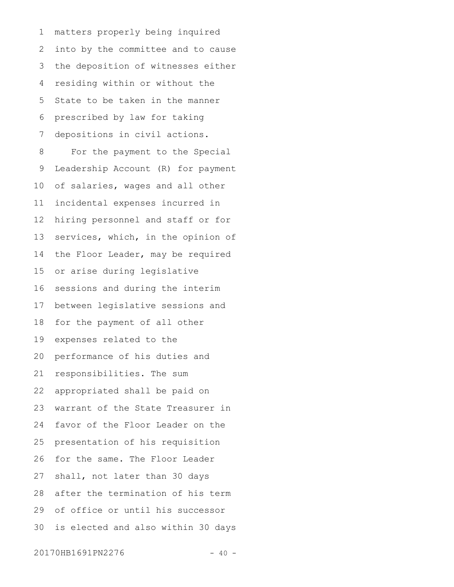matters properly being inquired into by the committee and to cause the deposition of witnesses either residing within or without the State to be taken in the manner prescribed by law for taking depositions in civil actions. For the payment to the Special Leadership Account (R) for payment of salaries, wages and all other incidental expenses incurred in hiring personnel and staff or for services, which, in the opinion of the Floor Leader, may be required or arise during legislative sessions and during the interim between legislative sessions and for the payment of all other expenses related to the performance of his duties and responsibilities. The sum appropriated shall be paid on warrant of the State Treasurer in favor of the Floor Leader on the presentation of his requisition for the same. The Floor Leader shall, not later than 30 days after the termination of his term of office or until his successor is elected and also within 30 days 1 2 3 4 5 6 7 8 9 10 11 12 13 14 15 16 17 18 19 20 21 22 23 24 25 26 27 28 29 30

20170HB1691PN2276 - 40 -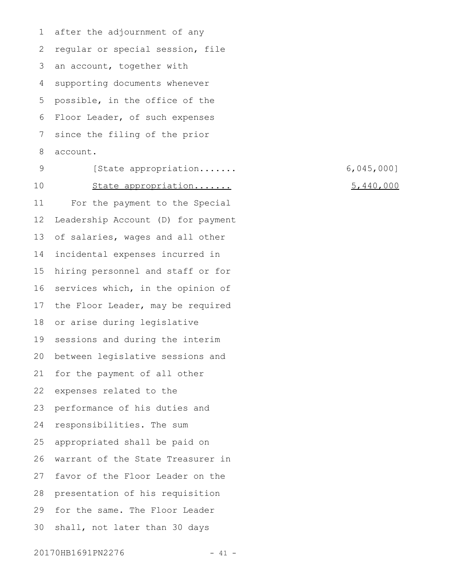after the adjournment of any regular or special session, file an account, together with supporting documents whenever possible, in the office of the Floor Leader, of such expenses since the filing of the prior account. 1 2 3 4 5 6 7 8

[State appropriation....... 6,045,000] State appropriation....... 5,440,000 For the payment to the Special Leadership Account (D) for payment of salaries, wages and all other incidental expenses incurred in hiring personnel and staff or for services which, in the opinion of the Floor Leader, may be required or arise during legislative sessions and during the interim between legislative sessions and for the payment of all other expenses related to the performance of his duties and responsibilities. The sum appropriated shall be paid on warrant of the State Treasurer in favor of the Floor Leader on the presentation of his requisition for the same. The Floor Leader shall, not later than 30 days 9 10 11 12 13 14 15 16 17 18 19 20 21 22 23 24 25 26 27 28 29 30

## 20170HB1691PN2276 - 41 -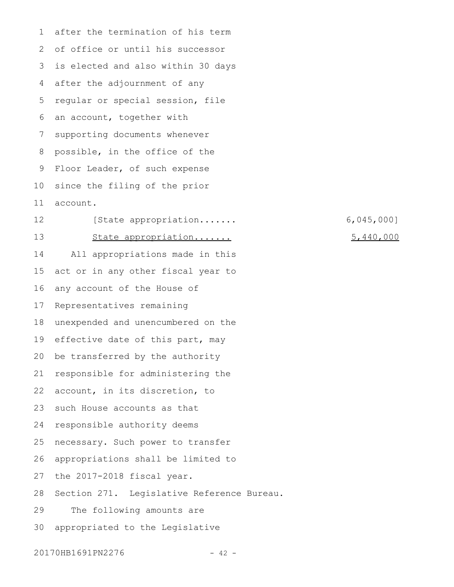after the termination of his term of office or until his successor is elected and also within 30 days after the adjournment of any regular or special session, file an account, together with supporting documents whenever possible, in the office of the Floor Leader, of such expense since the filing of the prior account. [State appropriation....... 6,045,000] State appropriation....... 5,440,000 All appropriations made in this act or in any other fiscal year to any account of the House of Representatives remaining unexpended and unencumbered on the effective date of this part, may be transferred by the authority responsible for administering the account, in its discretion, to such House accounts as that responsible authority deems necessary. Such power to transfer appropriations shall be limited to the 2017-2018 fiscal year. Section 271. Legislative Reference Bureau. The following amounts are appropriated to the Legislative 1 2 3 4 5 6 7 8 9 10 11 12 13 14 15 16 17 18 19 20 21 22 23 24 25 26 27 28 29 30

20170HB1691PN2276 - 42 -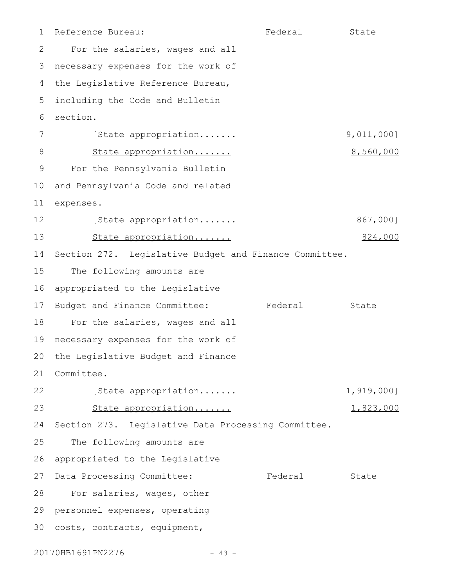Reference Bureau: The State State State State For the salaries, wages and all 3 necessary expenses for the work of 4 the Legislative Reference Bureau, including the Code and Bulletin section. [State appropriation....... 9,011,000] State appropriation....... 8,560,000 For the Pennsylvania Bulletin and Pennsylvania Code and related expenses. [State appropriation....... 867,000] State appropriation....... 824,000 Section 272. Legislative Budget and Finance Committee. The following amounts are appropriated to the Legislative Budget and Finance Committee: Federal State 18 For the salaries, wages and all 19 necessary expenses for the work of 20 the Legislative Budget and Finance Committee. 21 [State appropriation....... 1,919,000] State appropriation....... 1,823,000 Section 273. Legislative Data Processing Committee. The following amounts are appropriated to the Legislative 27 Data Processing Committee: Tederal State 28 For salaries, wages, other 29 personnel expenses, operating 30 costs, contracts, equipment, 1 2 5 6 7 8 9 10 11 12 13 14 15 16 17 22 23 24 25 26

20170HB1691PN2276 - 43 -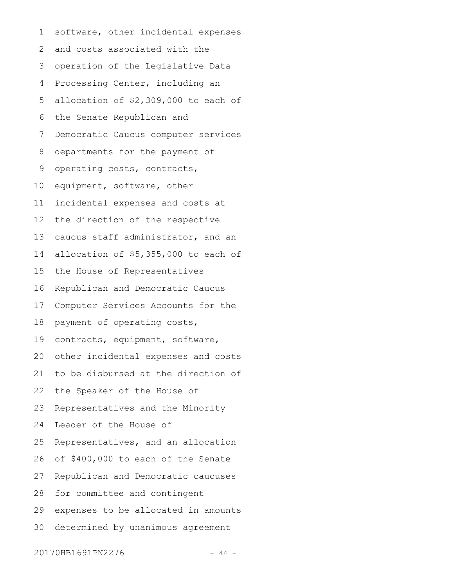software, other incidental expenses and costs associated with the operation of the Legislative Data Processing Center, including an allocation of \$2,309,000 to each of the Senate Republican and Democratic Caucus computer services departments for the payment of operating costs, contracts, equipment, software, other incidental expenses and costs at the direction of the respective caucus staff administrator, and an allocation of \$5,355,000 to each of the House of Representatives Republican and Democratic Caucus Computer Services Accounts for the payment of operating costs, contracts, equipment, software, other incidental expenses and costs to be disbursed at the direction of the Speaker of the House of Representatives and the Minority Leader of the House of Representatives, and an allocation of \$400,000 to each of the Senate Republican and Democratic caucuses for committee and contingent expenses to be allocated in amounts determined by unanimous agreement 1 2 3 4 5 6 7 8 9 10 11 12 13 14 15 16 17 18 19 20 21 22 23 24 25 26 27 28 29 30

20170HB1691PN2276 - 44 -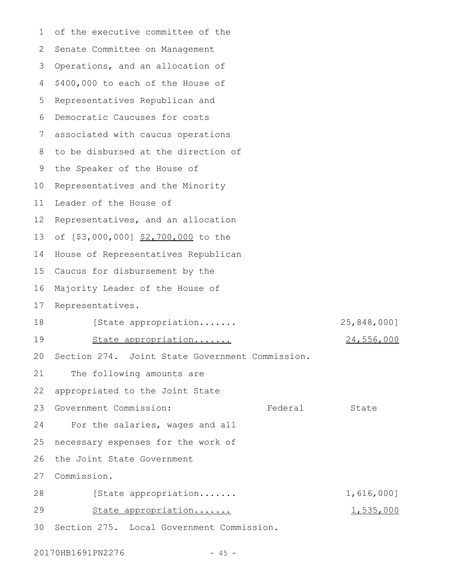of the executive committee of the 2 Senate Committee on Management Operations, and an allocation of \$400,000 to each of the House of Representatives Republican and Democratic Caucuses for costs associated with caucus operations 8 to be disbursed at the direction of 9 the Speaker of the House of Representatives and the Minority 11 Leader of the House of Representatives, and an allocation of [\$3,000,000] \$2,700,000 to the House of Representatives Republican Caucus for disbursement by the 16 Majority Leader of the House of Representatives. [State appropriation....... 25,848,000] State appropriation....... 24,556,000 Section 274. Joint State Government Commission. The following amounts are appropriated to the Joint State Government Commission: Tederal State For the salaries, wages and all necessary expenses for the work of the Joint State Government Commission. [State appropriation....... 1,616,000] State appropriation....... 1,535,000 Section 275. Local Government Commission. 301 3 4 5 6 7 10 12 13 14 15 17 18 19  $20$ 21 22 23 24 25 26 27 28 29

20170HB1691PN2276 - 45 -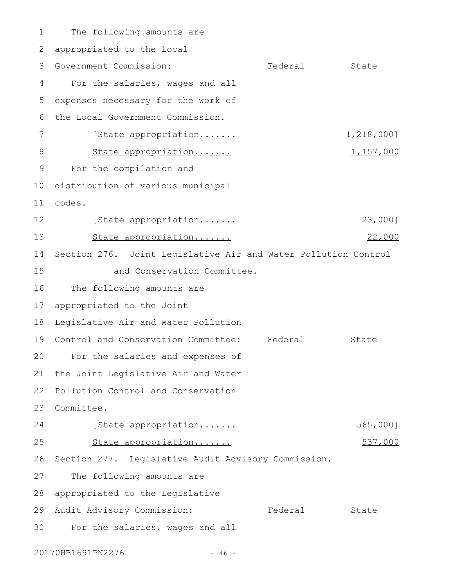The following amounts are 2 appropriated to the Local 3 Government Commission: Tederal State For the salaries, wages and all expenses necessary for the work of the Local Government Commission. [State appropriation....... 1,218,000] State appropriation....... 1,157,000 For the compilation and 10 distribution of various municipal codes. 11 [State appropriation....... 23,000] State appropriation....... 22,000 14 Section 276. Joint Legislative Air and Water Pollution Control and Conservation Committee. The following amounts are appropriated to the Joint Legislative Air and Water Pollution 19 Control and Conservation Committee: Federal State For the salaries and expenses of 20 21 the Joint Legislative Air and Water 22 Pollution Control and Conservation Committee. 23 [State appropriation....... 565,000] State appropriation....... 537,000 26 Section 277. Legislative Audit Advisory Commission. The following amounts are appropriated to the Legislative 29 Audit Advisory Commission: Tederal State For the salaries, wages and all 1 4 5 6 7 8 9 12 13 15 16 17 18 24 25 27 28 30

20170HB1691PN2276 - 46 -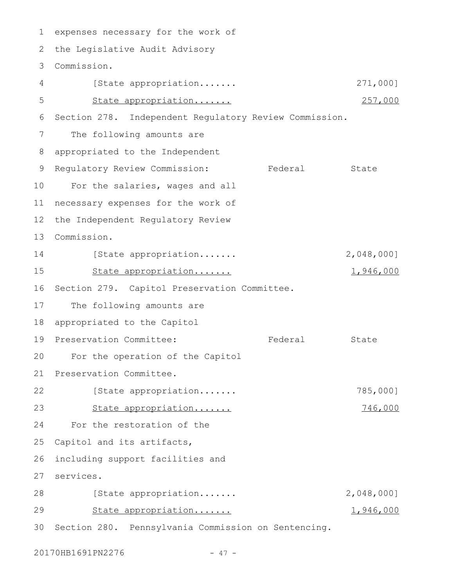1 expenses necessary for the work of the Legislative Audit Advisory 2 Commission. 3 [State appropriation....... 271,000] State appropriation....... 257,000 Section 278. Independent Regulatory Review Commission. The following amounts are appropriated to the Independent Regulatory Review Commission: Federal State For the salaries, wages and all 11 necessary expenses for the work of the Independent Regulatory Review Commission. [State appropriation....... 2,048,000] State appropriation....... 1,946,000 16 Section 279. Capitol Preservation Committee. The following amounts are appropriated to the Capitol 19 Preservation Committee: The Federal State For the operation of the Capitol 21 Preservation Committee. [State appropriation....... 785,000] State appropriation....... 746,000 For the restoration of the Capitol and its artifacts, including support facilities and services. 27 [State appropriation....... 2,048,000] State appropriation....... 1,946,000 Section 280. Pennsylvania Commission on Sentencing. 304 5 6 7 8 9 10 12 13 14 15 17 18  $20$ 22 23 24 25 26 28 29

20170HB1691PN2276 - 47 -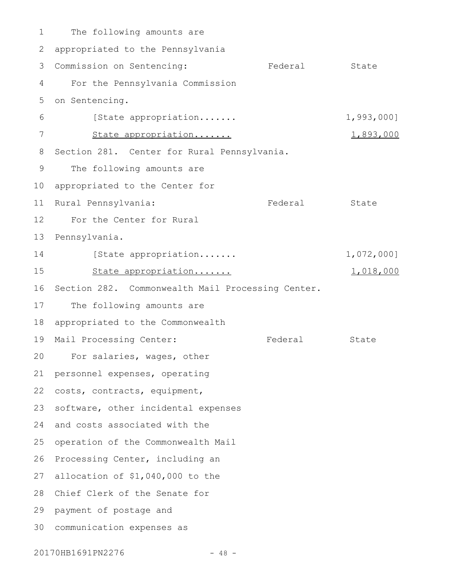The following amounts are 2 appropriated to the Pennsylvania 3 Commission on Sentencing: The Federal State For the Pennsylvania Commission on Sentencing. [State appropriation....... 1,993,000] State appropriation....... 1,893,000 8 Section 281. Center for Rural Pennsylvania. The following amounts are 10 appropriated to the Center for 11 Rural Pennsylvania: Tederal State For the Center for Rural 13 Pennsylvania. [State appropriation....... 1,072,000] State appropriation....... 1,018,000 16 Section 282. Commonwealth Mail Processing Center. The following amounts are appropriated to the Commonwealth 19 Mail Processing Center: Tederal State For salaries, wages, other 20 21 personnel expenses, operating 22 costs, contracts, equipment, 23 software, other incidental expenses 24 and costs associated with the 25 operation of the Commonwealth Mail 26 Processing Center, including an allocation of \$1,040,000 to the 27 28 Chief Clerk of the Senate for 29 payment of postage and communication expenses as 301 4 5 6 7 9 12 14 15 17 18

20170HB1691PN2276 - 48 -